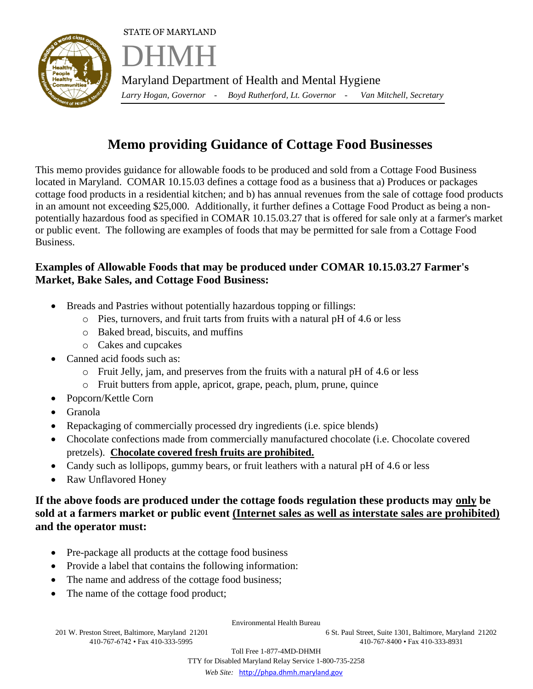STATE OF MARYLAND



DHMH Maryland Department of Health and Mental Hygiene *Larry Hogan, Governor - Boyd Rutherford, Lt. Governor - Van Mitchell, Secretary* 

## **Memo providing Guidance of Cottage Food Businesses**

This memo provides guidance for allowable foods to be produced and sold from a Cottage Food Business located in Maryland. COMAR 10.15.03 defines a cottage food as a business that a) Produces or packages cottage food products in a residential kitchen; and b) has annual revenues from the sale of cottage food products in an amount not exceeding \$25,000. Additionally, it further defines a Cottage Food Product as being a nonpotentially hazardous food as specified in COMAR 10.15.03.27 that is offered for sale only at a farmer's market or public event. The following are examples of foods that may be permitted for sale from a Cottage Food Business.

## **Examples of Allowable Foods that may be produced under COMAR 10.15.03.27 Farmer's Market, Bake Sales, and Cottage Food Business:**

- Breads and Pastries without potentially hazardous topping or fillings:
	- o Pies, turnovers, and fruit tarts from fruits with a natural pH of 4.6 or less
	- o Baked bread, biscuits, and muffins
	- o Cakes and cupcakes
- Canned acid foods such as:
	- $\circ$  Fruit Jelly, jam, and preserves from the fruits with a natural pH of 4.6 or less
	- o Fruit butters from apple, apricot, grape, peach, plum, prune, quince
- Popcorn/Kettle Corn
- Granola
- Repackaging of commercially processed dry ingredients (i.e. spice blends)
- Chocolate confections made from commercially manufactured chocolate (i.e. Chocolate covered pretzels). **Chocolate covered fresh fruits are prohibited.**
- Candy such as lollipops, gummy bears, or fruit leathers with a natural pH of 4.6 or less
- Raw Unflavored Honey

## **If the above foods are produced under the cottage foods regulation these products may only be sold at a farmers market or public event (Internet sales as well as interstate sales are prohibited) and the operator must:**

- Pre-package all products at the cottage food business
- Provide a label that contains the following information:
- The name and address of the cottage food business;
- The name of the cottage food product;

Environmental Health Bureau

201 W. Preston Street, Baltimore, Maryland 21201 6 St. Paul Street, Suite 1301, Baltimore, Maryland 21202 410-767-6742 • Fax 410-333-5995 410-767-8400 • Fax 410-333-8931

> Toll Free 1-877-4MD-DHMH TTY for Disabled Maryland Relay Service 1-800-735-2258  *Web Site:* [http://phpa.dhmh.maryland.gov](http://phpa.dhmh.maryland.gov/)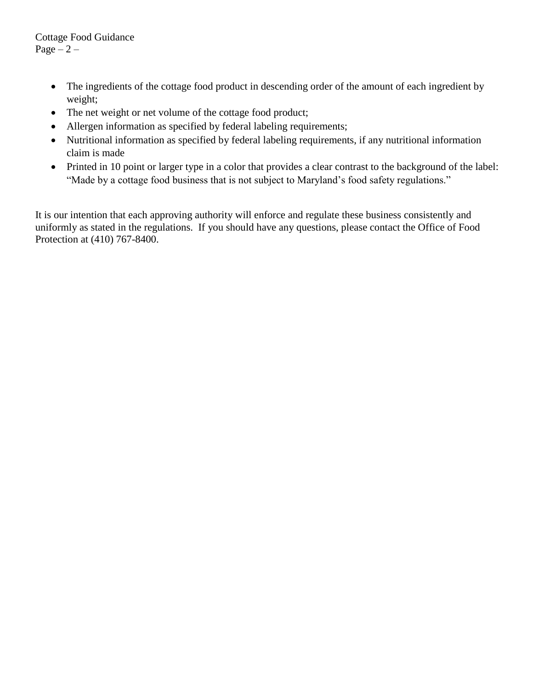Cottage Food Guidance Page  $-2$  –

- The ingredients of the cottage food product in descending order of the amount of each ingredient by weight;
- The net weight or net volume of the cottage food product;
- Allergen information as specified by federal labeling requirements;
- Nutritional information as specified by federal labeling requirements, if any nutritional information claim is made
- Printed in 10 point or larger type in a color that provides a clear contrast to the background of the label: "Made by a cottage food business that is not subject to Maryland's food safety regulations."

It is our intention that each approving authority will enforce and regulate these business consistently and uniformly as stated in the regulations. If you should have any questions, please contact the Office of Food Protection at (410) 767-8400.